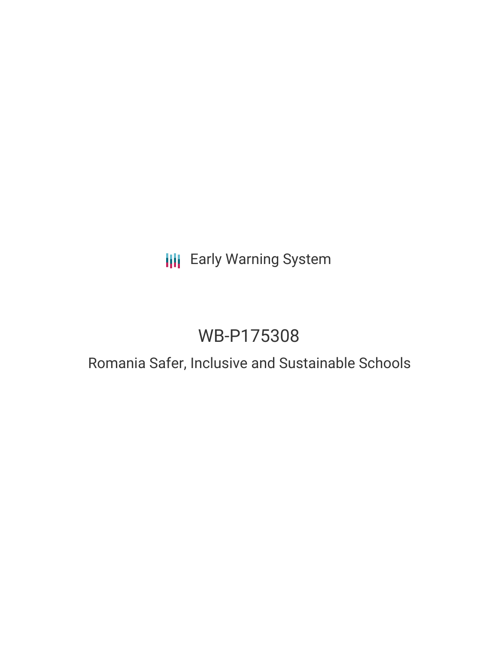# **III** Early Warning System

# WB-P175308

## Romania Safer, Inclusive and Sustainable Schools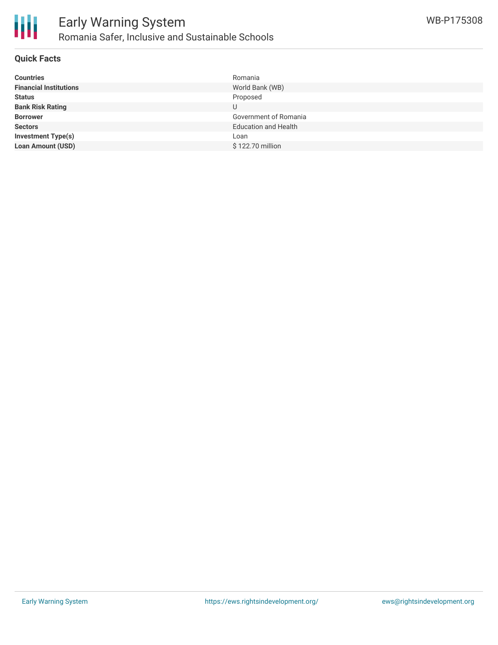

#### **Quick Facts**

| <b>Countries</b>              | Romania                     |
|-------------------------------|-----------------------------|
| <b>Financial Institutions</b> | World Bank (WB)             |
| <b>Status</b>                 | Proposed                    |
| <b>Bank Risk Rating</b>       |                             |
| <b>Borrower</b>               | Government of Romania       |
| <b>Sectors</b>                | <b>Education and Health</b> |
| Investment Type(s)            | Loan                        |
| <b>Loan Amount (USD)</b>      | \$122.70 million            |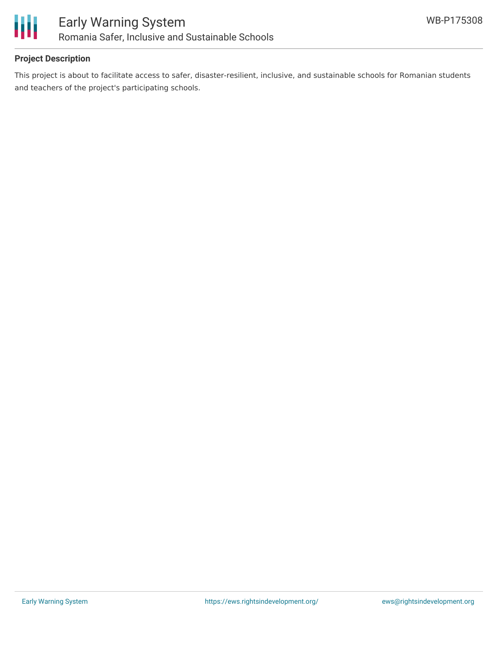

#### **Project Description**

This project is about to facilitate access to safer, disaster-resilient, inclusive, and sustainable schools for Romanian students and teachers of the project's participating schools.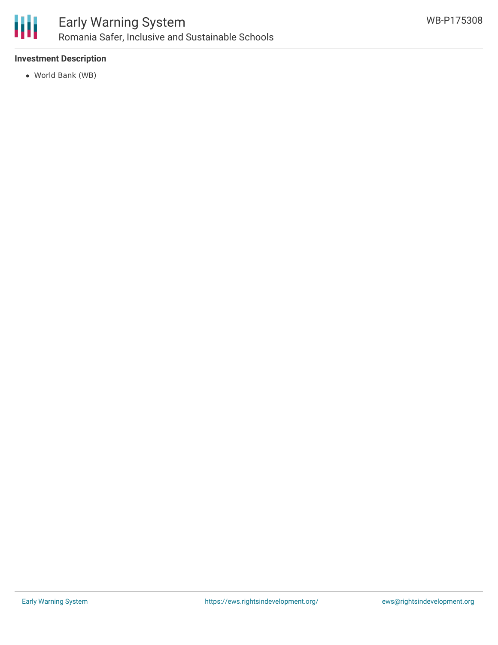

### Early Warning System Romania Safer, Inclusive and Sustainable Schools

#### **Investment Description**

World Bank (WB)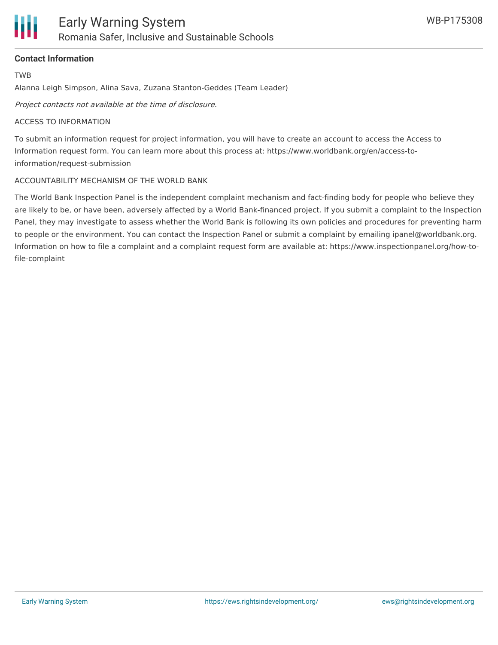

#### **Contact Information**

TWB

Alanna Leigh Simpson, Alina Sava, Zuzana Stanton-Geddes (Team Leader)

Project contacts not available at the time of disclosure.

#### ACCESS TO INFORMATION

To submit an information request for project information, you will have to create an account to access the Access to Information request form. You can learn more about this process at: https://www.worldbank.org/en/access-toinformation/request-submission

#### ACCOUNTABILITY MECHANISM OF THE WORLD BANK

The World Bank Inspection Panel is the independent complaint mechanism and fact-finding body for people who believe they are likely to be, or have been, adversely affected by a World Bank-financed project. If you submit a complaint to the Inspection Panel, they may investigate to assess whether the World Bank is following its own policies and procedures for preventing harm to people or the environment. You can contact the Inspection Panel or submit a complaint by emailing ipanel@worldbank.org. Information on how to file a complaint and a complaint request form are available at: https://www.inspectionpanel.org/how-tofile-complaint